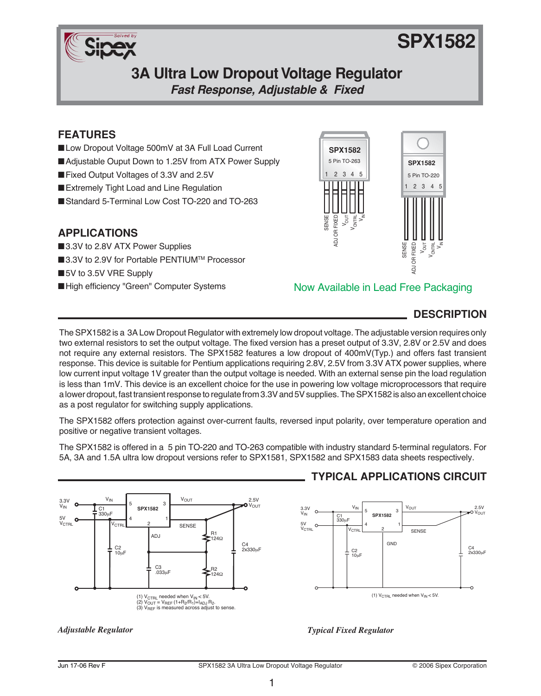

# **SPX1582**

# **3A Ultra Low Dropout Voltage Regulator**

**Fast Response, Adjustable & Fixed**

# **FEATURES**

- ■Low Dropout Voltage 500mV at 3A Full Load Current
- ■Adjustable Ouput Down to 1.25V from ATX Power Supply
- ■Fixed Output Voltages of 3.3V and 2.5V
- Extremely Tight Load and Line Regulation
- ■Standard 5-Terminal Low Cost TO-220 and TO-263

## **APPLICATIONS**

- ■3.3V to 2.8V ATX Power Supplies
- ■3.3V to 2.9V for Portable PENTIUM™ Processor
- ■5V to 3.5V VRE Supply
- ■High efficiency "Green" Computer Systems



## Now Available in Lead Free Packaging

# **DESCRIPTION**

The SPX1582 is a 3A Low Dropout Regulator with extremely low dropout voltage. The adjustable version requires only two external resistors to set the output voltage. The fixed version has a preset output of 3.3V, 2.8V or 2.5V and does not require any external resistors. The SPX1582 features a low dropout of 400mV(Typ.) and offers fast transient response. This device is suitable for Pentium applications requiring 2.8V, 2.5V from 3.3V ATX power supplies, where low current input voltage 1V greater than the output voltage is needed. With an external sense pin the load regulation is less than 1mV. This device is an excellent choice for the use in powering low voltage microprocessors that require a lower dropout, fast transient response to regulate from 3.3V and 5V supplies. The SPX1582 is also an excellent choice as a post regulator for switching supply applications.

The SPX1582 offers protection against over-current faults, reversed input polarity, over temperature operation and positive or negative transient voltages.

The SPX1582 is offered in a 5 pin TO-220 and TO-263 compatible with industry standard 5-terminal regulators. For 5A, 3A and 1.5A ultra low dropout versions refer to SPX1581, SPX1582 and SPX1583 data sheets respectively.



# **TYPICAL APPLICATIONS CIRCUIT**



#### *Adjustable Regulator Typical Fixed Regulator*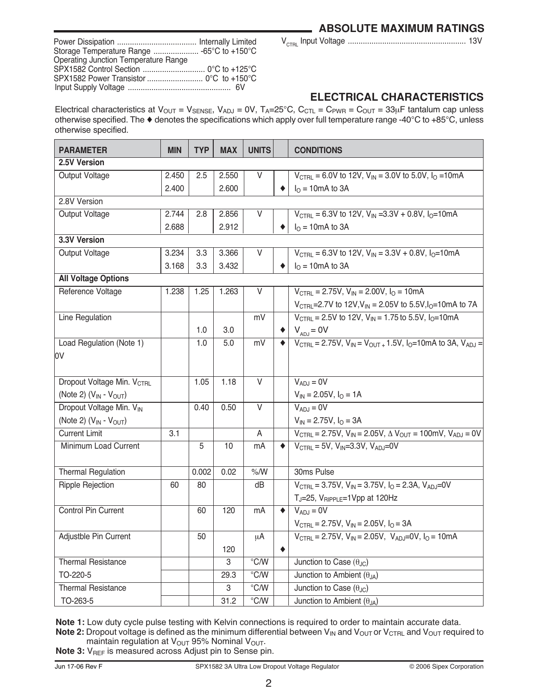VCTRL Input Voltage ....................................................... 13V

| Storage Temperature Range  -65°C to +150°C  |  |
|---------------------------------------------|--|
| <b>Operating Junction Temperature Range</b> |  |
|                                             |  |
|                                             |  |
|                                             |  |

# **ELECTRICAL CHARACTERISTICS**

Electrical characteristics at  $V_{OUT} = V_{SENSE}$ ,  $V_{ADJ} = 0V$ ,  $T_A = 25^{\circ}C$ ,  $C_{CTL} = C_{PWR} = C_{OUT} = 33 \mu F$  tantalum cap unless otherwise specified. The ♦ denotes the specifications which apply over full temperature range -40°C to +85°C, unless otherwise specified.

| <b>PARAMETER</b>                       | <b>MIN</b> | <b>TYP</b> | <b>MAX</b> | <b>UNITS</b>            |   | <b>CONDITIONS</b>                                                                                                              |  |  |
|----------------------------------------|------------|------------|------------|-------------------------|---|--------------------------------------------------------------------------------------------------------------------------------|--|--|
| 2.5V Version                           |            |            |            |                         |   |                                                                                                                                |  |  |
| Output Voltage                         | 2.450      | 2.5        | 2.550      | V                       |   | $V_{\text{CTRI}} = 6.0V$ to 12V, $V_{\text{IN}} = 3.0V$ to 5.0V, $I_{\Omega} = 10 \text{mA}$                                   |  |  |
|                                        | 2.400      |            | 2.600      |                         |   | $I0 = 10mA$ to 3A                                                                                                              |  |  |
| 2.8V Version                           |            |            |            |                         |   |                                                                                                                                |  |  |
| Output Voltage                         | 2.744      | 2.8        | 2.856      | V                       |   | $V_{\text{CTRL}} = 6.3V$ to 12V, $V_{\text{IN}} = 3.3V + 0.8V$ , $I_0 = 10 \text{mA}$                                          |  |  |
|                                        | 2.688      |            | 2.912      |                         |   | $I0 = 10mA$ to 3A                                                                                                              |  |  |
| 3.3V Version                           |            |            |            |                         |   |                                                                                                                                |  |  |
| Output Voltage                         | 3.234      | 3.3        | 3.366      | V                       |   | $V_{\text{CTRL}} = 6.3V$ to 12V, $V_{\text{IN}} = 3.3V + 0.8V$ , $I_{\text{O}} = 10 \text{mA}$                                 |  |  |
|                                        | 3.168      | 3.3        | 3.432      |                         |   | $I0 = 10mA$ to 3A                                                                                                              |  |  |
| <b>All Voltage Options</b>             |            |            |            |                         |   |                                                                                                                                |  |  |
| Reference Voltage                      | 1.238      | 1.25       | 1.263      | V                       |   | $V_{\text{CTRI}} = 2.75V$ , $V_{\text{IN}} = 2.00V$ , $I_{\Omega} = 10 \text{mA}$                                              |  |  |
|                                        |            |            |            |                         |   | $V_{\text{CTBL}}$ =2.7V to 12V, $V_{\text{IN}}$ = 2.05V to 5.5V, $I_{\text{O}}$ =10mA to 7A                                    |  |  |
| Line Regulation                        |            |            |            | mV                      |   | $V_{\text{CTRL}}$ = 2.5V to 12V, $V_{\text{IN}}$ = 1.75 to 5.5V, $I_{\text{O}}$ =10mA                                          |  |  |
|                                        |            | 1.0        | 3.0        |                         |   | $V_{AD,i} = 0V$                                                                                                                |  |  |
| Load Regulation (Note 1)               |            | 1.0        | 5.0        | mV                      |   | $V_{\text{CTBL}} = 2.75V$ , $V_{\text{IN}} = V_{\text{OUT} +} 1.5V$ , $I_{\text{O}} = 10 \text{mA}$ to 3A, $V_{\text{AD,I}} =$ |  |  |
| l0V                                    |            |            |            |                         |   |                                                                                                                                |  |  |
|                                        |            |            |            |                         |   |                                                                                                                                |  |  |
| Dropout Voltage Min. V <sub>CTRL</sub> |            | 1.05       | 1.18       | V                       |   | $V_{ADJ} = 0V$                                                                                                                 |  |  |
| (Note 2) $(V_{IN} - V_{OUT})$          |            |            |            |                         |   | $V_{IN} = 2.05V$ , $I_{O} = 1A$                                                                                                |  |  |
| Dropout Voltage Min. VIN               |            | 0.40       | 0.50       | $\overline{\mathsf{v}}$ |   | $V_{AD,J} = 0V$                                                                                                                |  |  |
| (Note 2) $(V_{IN} - V_{OUT})$          |            |            |            |                         |   | $V_{IN} = 2.75V$ , $I_{O} = 3A$                                                                                                |  |  |
| <b>Current Limit</b>                   | 3.1        |            |            | A                       |   | $V_{\text{CTRL}} = 2.75V$ , $V_{\text{IN}} = 2.05V$ , $\Delta V_{\text{OUT}} = 100$ mV, $V_{\text{ADJ}} = 0V$                  |  |  |
| Minimum Load Current                   |            | 5          | 10         | mA                      |   | $V_{\text{CTBI}} = 5V$ , $V_{\text{IN}} = 3.3V$ , $V_{\text{AD}} = 0V$                                                         |  |  |
|                                        |            |            |            |                         |   |                                                                                                                                |  |  |
| <b>Thermal Regulation</b>              |            | 0.002      | 0.02       | $%$ /W                  |   | 30ms Pulse                                                                                                                     |  |  |
| Ripple Rejection                       | 60         | 80         |            | dB                      |   | $V_{\text{CTRL}} = 3.75V$ , $V_{\text{IN}} = 3.75V$ , $I_{\text{O}} = 2.3A$ , $V_{\text{ADJ}} = 0V$                            |  |  |
|                                        |            |            |            |                         |   | $T_J = 25$ , $V_{RIPPLE} = 1$ Vpp at 120Hz                                                                                     |  |  |
| <b>Control Pin Current</b>             |            | 60         | 120        | mA                      | ٠ | $V_{ADJ} = 0V$                                                                                                                 |  |  |
|                                        |            |            |            |                         |   | $V_{\text{CTBL}} = 2.75V$ , $V_{\text{IN}} = 2.05V$ , $I_{\text{O}} = 3A$                                                      |  |  |
| Adjustble Pin Current                  |            | 50         |            | μA                      |   | $V_{\text{CTRL}} = 2.75V$ , $V_{\text{IN}} = 2.05V$ , $V_{\text{ADJ}} = 0V$ , $I_{\text{O}} = 10 \text{mA}$                    |  |  |
|                                        |            |            | 120        |                         | ۰ |                                                                                                                                |  |  |
| <b>Thermal Resistance</b>              |            |            | 3          | $\overline{C}$ /W       |   | Junction to Case $(\theta_{\text{JC}})$                                                                                        |  |  |
| TO-220-5                               |            |            | 29.3       | $\overline{C}$ /W       |   | Junction to Ambient $(\theta_{JA})$                                                                                            |  |  |
| <b>Thermal Resistance</b>              |            |            | 3          | $\overline{C}$ /W       |   | Junction to Case $(\theta_{JC})$                                                                                               |  |  |
| TO-263-5                               |            |            | 31.2       | $\overline{C}$ /W       |   | Junction to Ambient $(\theta_{JA})$                                                                                            |  |  |

**Note 1:** Low duty cycle pulse testing with Kelvin connections is required to order to maintain accurate data. **Note 2:** Dropout voltage is defined as the minimum differential between V<sub>IN</sub> and V<sub>OUT</sub> or V<sub>CTRL</sub> and V<sub>OUT</sub> required to maintain regulation at  $V_{\text{OUT}}$  95% Nominal  $V_{\text{OUT}}$ .

Note 3: V<sub>REF</sub> is measured across Adjust pin to Sense pin.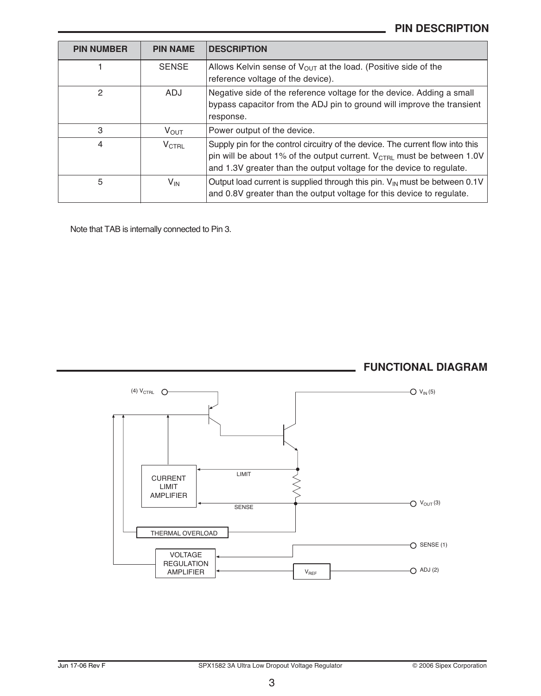# **PIN DESCRIPTION**

| <b>PIN NUMBER</b> | <b>PIN NAME</b>   | <b>DESCRIPTION</b>                                                                                                                                                                                                                           |
|-------------------|-------------------|----------------------------------------------------------------------------------------------------------------------------------------------------------------------------------------------------------------------------------------------|
|                   | <b>SENSE</b>      | Allows Kelvin sense of $V_{\text{OUT}}$ at the load. (Positive side of the<br>reference voltage of the device).                                                                                                                              |
| 2                 | ADJ               | Negative side of the reference voltage for the device. Adding a small<br>bypass capacitor from the ADJ pin to ground will improve the transient<br>response.                                                                                 |
| 3                 | <b>V</b> OUT      | Power output of the device.                                                                                                                                                                                                                  |
| 4                 | $V_{\text{CTRL}}$ | Supply pin for the control circuitry of the device. The current flow into this<br>pin will be about 1% of the output current. V <sub>CTRL</sub> must be between 1.0V<br>and 1.3V greater than the output voltage for the device to regulate. |
| 5                 | $V_{IN}$          | Output load current is supplied through this pin. $V_{\text{IN}}$ must be between 0.1V<br>and 0.8V greater than the output voltage for this device to regulate.                                                                              |

Note that TAB is internally connected to Pin 3.



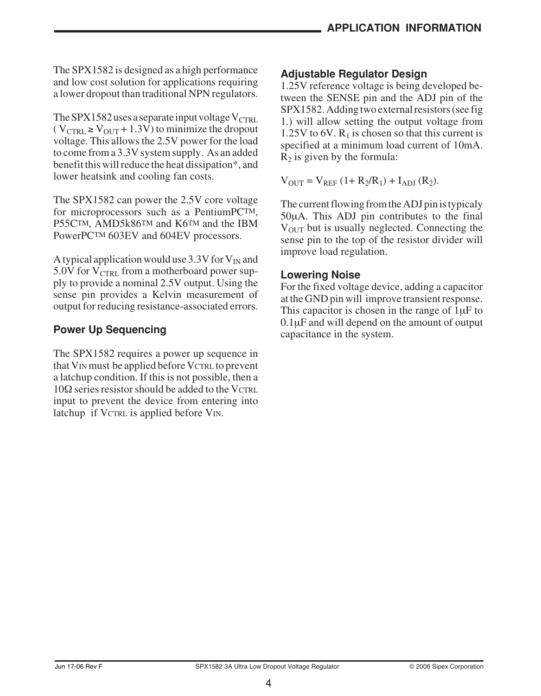The SPX1582 is designed as a high performance and low cost solution for applications requiring a lower dropout than traditional NPN regulators.

The SPX1582 uses a separate input voltage  $V_{CTRI}$ .  $(V_{\text{CTRL}} \geq V_{\text{OUT}} + 1.3V)$  to minimize the dropout voltage. This allows the 2.5V power for the load to come from a 3.3V system supply. As an added benefit this will reduce the heat dissipation\*, and lower heatsink and cooling fan costs.

The SPX1582 can power the 2.5V core voltage for microprocessors such as a PentiumPCTM, P55CTM, AMD5k86TM and K6TM and the IBM PowerPCTM 603EV and 604EV processors.

A typical application would use 3.3V for  $V_{IN}$  and 5.0V for  $V_{\text{CTRL}}$  from a motherboard power supply to provide a nominal 2.5V output. Using the sense pin provides a Kelvin measurement of output for reducing resistance-associated errors.

# **Power Up Sequencing**

The SPX1582 requires a power up sequence in that V<sub>IN</sub> must be applied before VCTRL to prevent a latchup condition. If this is not possible, then a  $10\Omega$  series resistor should be added to the VCTRL input to prevent the device from entering into latchup if VCTRL is applied before VIN.

# **Adjustable Regulator Design**

1.25V reference voltage is being developed between the SENSE pin and the ADJ pin of the SPX1582. Adding two external resistors (see fig 1.) will allow setting the output voltage from 1.25V to 6V.  $R_1$  is chosen so that this current is specified at a minimum load current of 10mA.  $R_2$  is given by the formula:

 $V_{\text{OUT}} = V_{\text{REF}} (1 + R_2/R_1) + I_{\text{ADI}} (R_2).$ 

The current flowing from the ADJ pin is typicaly 50μA. This ADJ pin contributes to the final  $V<sub>OUT</sub>$  but is usually neglected. Connecting the sense pin to the top of the resistor divider will improve load regulation.

# **Lowering Noise**

For the fixed voltage device, adding a capacitor at the GND pin will improve transient response. This capacitor is chosen in the range of  $1uF$  to 0.1μF and will depend on the amount of output capacitance in the system.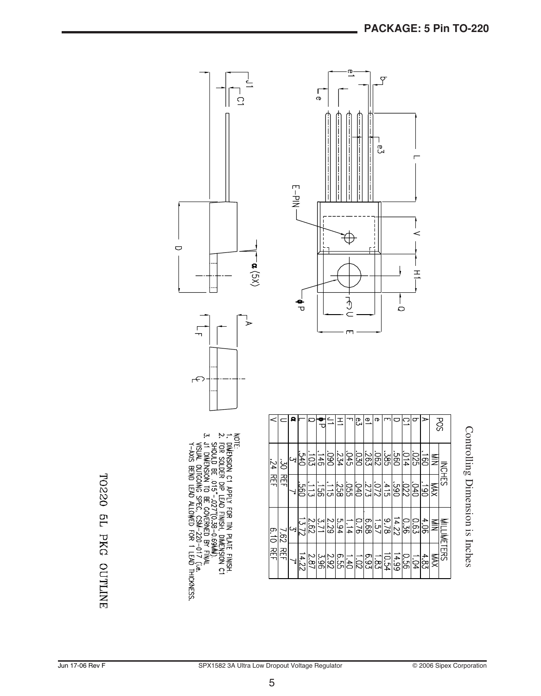

Controlling Dimension is Inches

TO220 5L PKG OUTLINE

 $\bigcirc$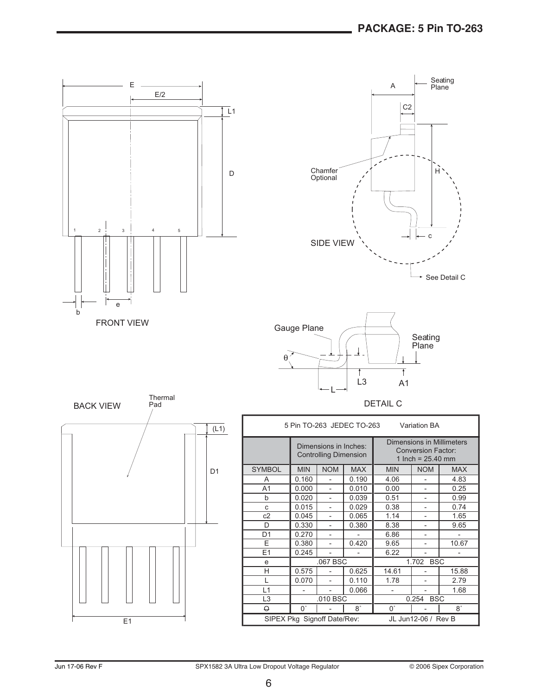